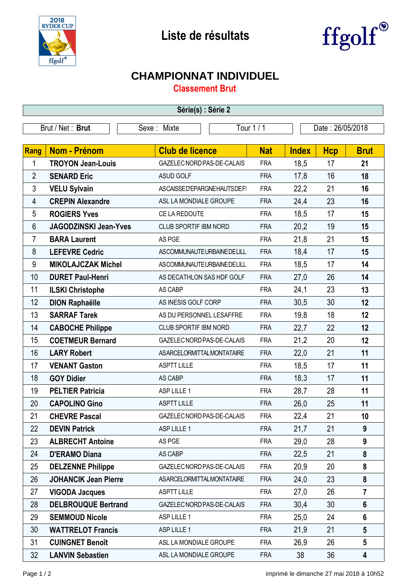



## **CHAMPIONNAT INDIVIDUEL**

**Classement Brut**

| Série(s) : Série 2 |                              |                                  |            |              |                  |                         |  |  |  |
|--------------------|------------------------------|----------------------------------|------------|--------------|------------------|-------------------------|--|--|--|
| Brut / Net: Brut   |                              | Sexe: Mixte                      | Tour 1 / 1 |              | Date: 26/05/2018 |                         |  |  |  |
|                    |                              |                                  |            |              |                  |                         |  |  |  |
| Rang               | <b>Nom - Prénom</b>          | <b>Club de licence</b>           | <b>Nat</b> | <b>Index</b> | <b>Hcp</b>       | <b>Brut</b>             |  |  |  |
| 1                  | <b>TROYON Jean-Louis</b>     | GAZELEC NORD PAS-DE-CALAIS       | <b>FRA</b> | 18,5         | 17               | 21                      |  |  |  |
| $\overline{2}$     | <b>SENARD Eric</b>           | <b>ASUD GOLF</b>                 | <b>FRA</b> | 17,8         | 16               | 18                      |  |  |  |
| 3                  | <b>VELU Sylvain</b>          | ASCAISSED'EPARGNEHAUTSDEFI       | <b>FRA</b> | 22,2         | 21               | 16                      |  |  |  |
| 4                  | <b>CREPIN Alexandre</b>      | ASL LA MONDIALE GROUPE           | <b>FRA</b> | 24,4         | 23               | 16                      |  |  |  |
| 5                  | <b>ROGIERS Yves</b>          | CE LA REDOUTE                    | <b>FRA</b> | 18,5         | 17               | 15                      |  |  |  |
| 6                  | <b>JAGODZINSKI Jean-Yves</b> | CLUB SPORTIF IBM NORD            | <b>FRA</b> | 20,2         | 19               | 15                      |  |  |  |
| $\overline{7}$     | <b>BARA Laurent</b>          | AS PGE                           | <b>FRA</b> | 21,8         | 21               | 15                      |  |  |  |
| 8                  | <b>LEFEVRE Cedric</b>        | ASCOMMUNAUTEURBAINEDELILL        | <b>FRA</b> | 18,4         | 17               | 15                      |  |  |  |
| 9                  | <b>MIKOLAJCZAK Michel</b>    | ASCOMMUNAUTEURBAINEDELILL        | <b>FRA</b> | 18,5         | 17               | 14                      |  |  |  |
| 10                 | <b>DURET Paul-Henri</b>      | AS DECATHLON SAS HDF GOLF        | <b>FRA</b> | 27,0         | 26               | 14                      |  |  |  |
| 11                 | <b>ILSKI Christophe</b>      | AS CABP                          | <b>FRA</b> | 24,1         | 23               | 13                      |  |  |  |
| 12                 | <b>DION Raphaëlle</b>        | AS INESIS GOLF CORP              | <b>FRA</b> | 30,5         | 30               | 12                      |  |  |  |
| 13                 | <b>SARRAF Tarek</b>          | AS DU PERSONNEL LESAFFRE         | <b>FRA</b> | 19,8         | 18               | 12                      |  |  |  |
| 14                 | <b>CABOCHE Philippe</b>      | CLUB SPORTIF IBM NORD            | <b>FRA</b> | 22,7         | 22               | 12                      |  |  |  |
| 15                 | <b>COETMEUR Bernard</b>      | GAZELEC NORD PAS-DE-CALAIS       | <b>FRA</b> | 21,2         | 20               | 12                      |  |  |  |
| 16                 | <b>LARY Robert</b>           | <b>ASARCELORMITTALMONTATAIRE</b> | <b>FRA</b> | 22,0         | 21               | 11                      |  |  |  |
| 17                 | <b>VENANT Gaston</b>         | <b>ASPTT LILLE</b>               | <b>FRA</b> | 18,5         | 17               | 11                      |  |  |  |
| 18                 | <b>GOY Didier</b>            | AS CABP                          | <b>FRA</b> | 18,3         | 17               | 11                      |  |  |  |
| 19                 | <b>PELTIER Patricia</b>      | ASP LILLE 1                      | <b>FRA</b> | 28,7         | 28               | 11                      |  |  |  |
| 20                 | <b>CAPOLINO Gino</b>         | <b>ASPTT LILLE</b>               | <b>FRA</b> | 26,0         | 25               | 11                      |  |  |  |
| 21                 | <b>CHEVRE Pascal</b>         | GAZELEC NORD PAS-DE-CALAIS       | <b>FRA</b> | 22,4         | 21               | 10                      |  |  |  |
| 22                 | <b>DEVIN Patrick</b>         | ASP LILLE 1                      | <b>FRA</b> | 21,7         | 21               | 9                       |  |  |  |
| 23                 | <b>ALBRECHT Antoine</b>      | AS PGE                           | <b>FRA</b> | 29,0         | 28               | 9                       |  |  |  |
| 24                 | <b>D'ERAMO Diana</b>         | AS CABP                          | <b>FRA</b> | 22,5         | 21               | 8                       |  |  |  |
| 25                 | <b>DELZENNE Philippe</b>     | GAZELEC NORD PAS-DE-CALAIS       | <b>FRA</b> | 20,9         | 20               | 8                       |  |  |  |
| 26                 | <b>JOHANCIK Jean Pierre</b>  | ASARCELORMITTALMONTATAIRE        | <b>FRA</b> | 24,0         | 23               | 8                       |  |  |  |
| 27                 | <b>VIGODA Jacques</b>        | <b>ASPTT LILLE</b>               | <b>FRA</b> | 27,0         | 26               | $\overline{7}$          |  |  |  |
| 28                 | <b>DELBROUQUE Bertrand</b>   | GAZELEC NORD PAS-DE-CALAIS       | <b>FRA</b> | 30,4         | 30               | 6                       |  |  |  |
| 29                 | <b>SEMMOUD Nicole</b>        | ASP LILLE 1                      | <b>FRA</b> | 25,0         | 24               | $6\phantom{1}$          |  |  |  |
| 30                 | <b>WATTRELOT Francis</b>     | ASP LILLE 1                      | <b>FRA</b> | 21,9         | 21               | $5\phantom{.0}$         |  |  |  |
| 31                 | <b>CUINGNET Benoît</b>       | ASL LA MONDIALE GROUPE           | <b>FRA</b> | 26,9         | 26               | $5\phantom{.0}$         |  |  |  |
| 32                 | <b>LANVIN Sebastien</b>      | ASL LA MONDIALE GROUPE           | <b>FRA</b> | 38           | 36               | $\overline{\mathbf{4}}$ |  |  |  |